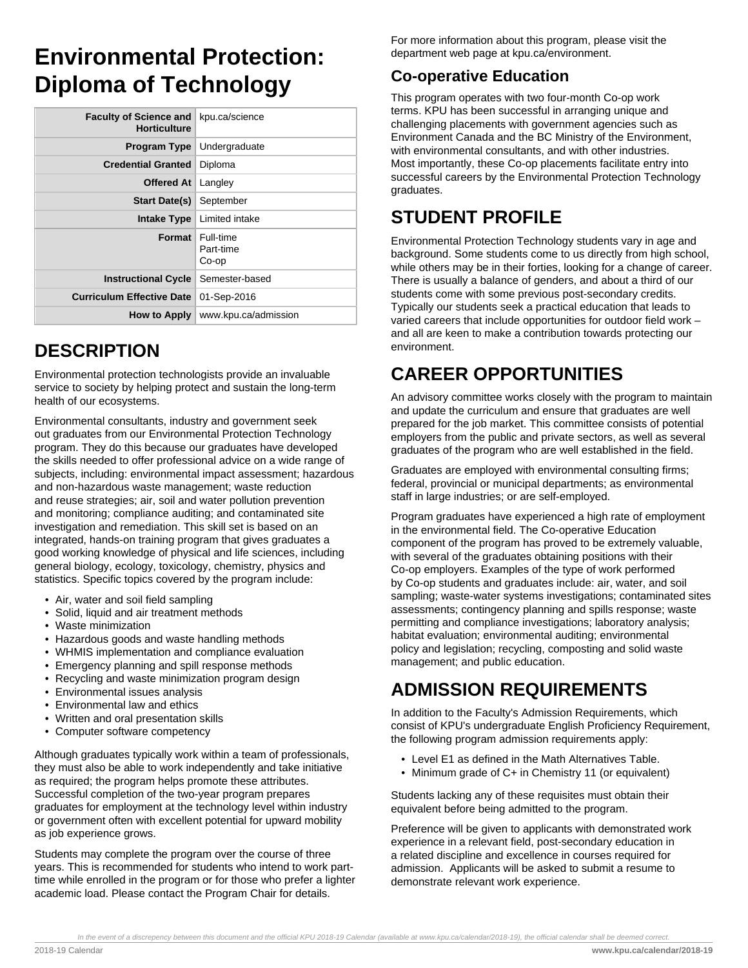# **Environmental Protection: Diploma of Technology**

| <b>Faculty of Science and</b><br><b>Horticulture</b> | kpu.ca/science                    |
|------------------------------------------------------|-----------------------------------|
| <b>Program Type</b>                                  | Undergraduate                     |
| <b>Credential Granted</b>                            | Diploma                           |
| Offered At                                           | Langley                           |
| <b>Start Date(s)</b>                                 | September                         |
|                                                      | <b>Intake Type Limited intake</b> |
| Format                                               | Full-time<br>Part-time<br>Co-op   |
| <b>Instructional Cycle</b>                           | Semester-based                    |
| <b>Curriculum Effective Date</b>                     | 01-Sep-2016                       |
| How to Apply                                         | www.kpu.ca/admission              |

#### **DESCRIPTION**

Environmental protection technologists provide an invaluable service to society by helping protect and sustain the long-term health of our ecosystems.

Environmental consultants, industry and government seek out graduates from our Environmental Protection Technology program. They do this because our graduates have developed the skills needed to offer professional advice on a wide range of subjects, including: environmental impact assessment; hazardous and non-hazardous waste management; waste reduction and reuse strategies; air, soil and water pollution prevention and monitoring; compliance auditing; and contaminated site investigation and remediation. This skill set is based on an integrated, hands-on training program that gives graduates a good working knowledge of physical and life sciences, including general biology, ecology, toxicology, chemistry, physics and statistics. Specific topics covered by the program include:

- Air, water and soil field sampling
- Solid, liquid and air treatment methods
- Waste minimization
- Hazardous goods and waste handling methods
- WHMIS implementation and compliance evaluation
- Emergency planning and spill response methods
- Recycling and waste minimization program design
- Environmental issues analysis
- Environmental law and ethics
- Written and oral presentation skills
- Computer software competency

Although graduates typically work within a team of professionals, they must also be able to work independently and take initiative as required; the program helps promote these attributes. Successful completion of the two-year program prepares graduates for employment at the technology level within industry or government often with excellent potential for upward mobility as job experience grows.

Students may complete the program over the course of three years. This is recommended for students who intend to work parttime while enrolled in the program or for those who prefer a lighter academic load. Please contact the Program Chair for details.

For more information about this program, please visit the department web page at kpu.ca/environment.

#### **Co-operative Education**

This program operates with two four-month Co-op work terms. KPU has been successful in arranging unique and challenging placements with government agencies such as Environment Canada and the BC Ministry of the Environment, with environmental consultants, and with other industries. Most importantly, these Co-op placements facilitate entry into successful careers by the Environmental Protection Technology graduates.

## **STUDENT PROFILE**

Environmental Protection Technology students vary in age and background. Some students come to us directly from high school, while others may be in their forties, looking for a change of career. There is usually a balance of genders, and about a third of our students come with some previous post-secondary credits. Typically our students seek a practical education that leads to varied careers that include opportunities for outdoor field work – and all are keen to make a contribution towards protecting our environment.

## **CAREER OPPORTUNITIES**

An advisory committee works closely with the program to maintain and update the curriculum and ensure that graduates are well prepared for the job market. This committee consists of potential employers from the public and private sectors, as well as several graduates of the program who are well established in the field.

Graduates are employed with environmental consulting firms; federal, provincial or municipal departments; as environmental staff in large industries; or are self-employed.

Program graduates have experienced a high rate of employment in the environmental field. The Co-operative Education component of the program has proved to be extremely valuable, with several of the graduates obtaining positions with their Co-op employers. Examples of the type of work performed by Co-op students and graduates include: air, water, and soil sampling; waste-water systems investigations; contaminated sites assessments; contingency planning and spills response; waste permitting and compliance investigations; laboratory analysis; habitat evaluation; environmental auditing; environmental policy and legislation; recycling, composting and solid waste management; and public education.

#### **ADMISSION REQUIREMENTS**

In addition to the Faculty's Admission Requirements, which consist of KPU's undergraduate English Proficiency Requirement, the following program admission requirements apply:

- Level E1 as defined in the Math Alternatives Table.
- Minimum grade of C+ in Chemistry 11 (or equivalent)

Students lacking any of these requisites must obtain their equivalent before being admitted to the program.

Preference will be given to applicants with demonstrated work experience in a relevant field, post-secondary education in a related discipline and excellence in courses required for admission. Applicants will be asked to submit a resume to demonstrate relevant work experience.

In the event of a discrepency between this document and the official KPU 2018-19 Calendar (available at www.kpu.ca/calendar/2018-19), the official calendar shall be deemed correct.